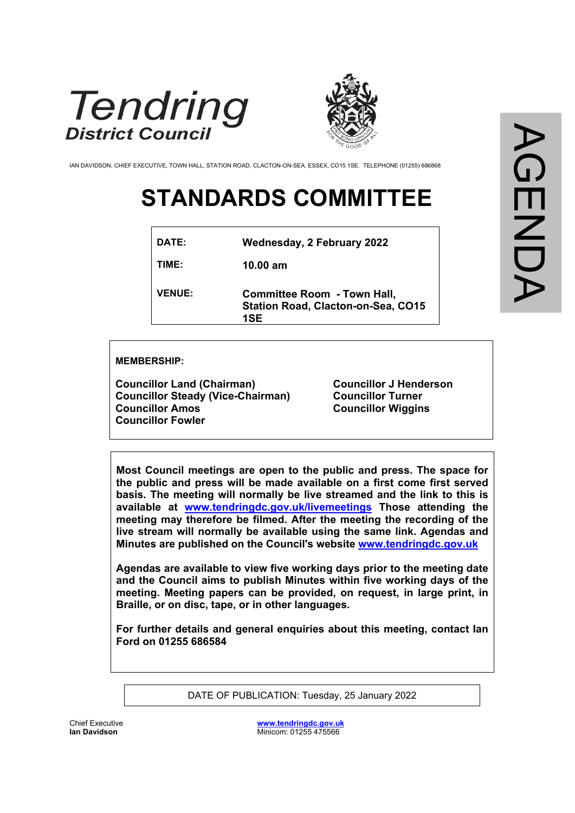



IAN DAVIDSON, CHIEF EXECUTIVE, TOWN HALL, STATION ROAD, CLACTON-ON-SEA, ESSEX, CO15 1SE. TELEPHONE (01255) 686868

# **STANDARDS COMMITTEE**

| <b>VENUE:</b> | <b>Committee Room - Town Hall,</b><br><b>Station Road, Clacton-on-Sea, CO15</b><br>1SE |
|---------------|----------------------------------------------------------------------------------------|
| TIME:         | $10.00 \text{ am}$                                                                     |
| <b>DATE:</b>  | <b>Wednesday, 2 February 2022</b>                                                      |

#### **MEMBERSHIP:**

**Councillor Land (Chairman) Councillor Steady (Vice-Chairman) Councillor Amos Councillor Fowler**

**Councillor J Henderson Councillor Turner Councillor Wiggins**

**Most Council meetings are open to the public and press. The space for the public and press will be made available on a first come first served basis. The meeting will normally be live streamed and the link to this is available at [www.tendringdc.gov.uk/livemeetings](http://www.tendringdc.gov.uk/livemeetings) Those attending the meeting may therefore be filmed. After the meeting the recording of the live stream will normally be available using the same link. Agendas and Minutes are published on the Council's website [www.tendringdc.gov.uk](http://www.tendringdc.gov.uk/)**

**Agendas are available to view five working days prior to the meeting date and the Council aims to publish Minutes within five working days of the meeting. Meeting papers can be provided, on request, in large print, in Braille, or on disc, tape, or in other languages.**

**For further details and general enquiries about this meeting, contact Ian Ford on 01255 686584**

DATE OF PUBLICATION: Tuesday, 25 January 2022

Chief Executive **Ian Davidson** 

**[www.tendringdc.gov.uk](http://www.tendringdc.gov.uk/)** Minicom: 01255 475566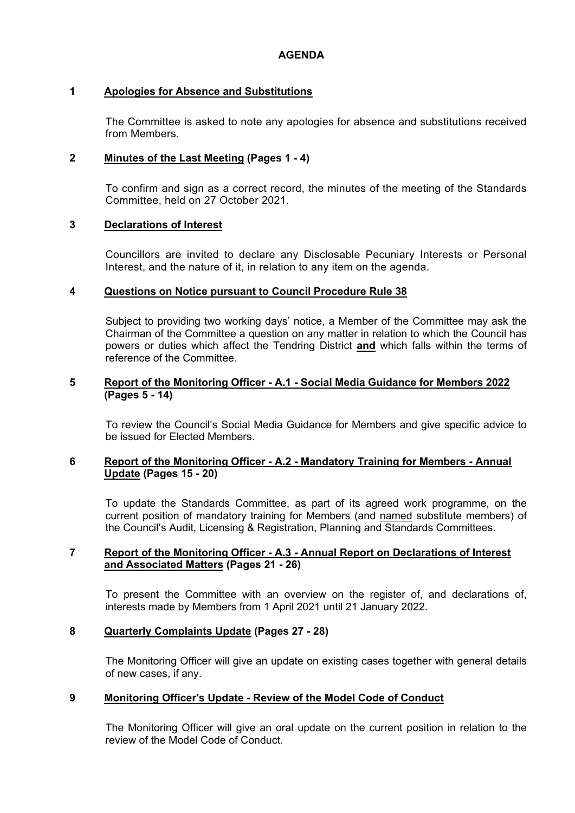# **1 Apologies for Absence and Substitutions**

The Committee is asked to note any apologies for absence and substitutions received from Members.

# **2 Minutes of the Last Meeting (Pages 1 - 4)**

To confirm and sign as a correct record, the minutes of the meeting of the Standards Committee, held on 27 October 2021.

# **3 Declarations of Interest**

Councillors are invited to declare any Disclosable Pecuniary Interests or Personal Interest, and the nature of it, in relation to any item on the agenda.

# **4 Questions on Notice pursuant to Council Procedure Rule 38**

Subject to providing two working days' notice, a Member of the Committee may ask the Chairman of the Committee a question on any matter in relation to which the Council has powers or duties which affect the Tendring District **and** which falls within the terms of reference of the Committee.

#### **5 Report of the Monitoring Officer - A.1 - Social Media Guidance for Members 2022 (Pages 5 - 14)**

To review the Council's Social Media Guidance for Members and give specific advice to be issued for Elected Members.

#### **6 Report of the Monitoring Officer - A.2 - Mandatory Training for Members - Annual Update (Pages 15 - 20)**

To update the Standards Committee, as part of its agreed work programme, on the current position of mandatory training for Members (and named substitute members) of the Council's Audit, Licensing & Registration, Planning and Standards Committees.

### **7 Report of the Monitoring Officer - A.3 - Annual Report on Declarations of Interest and Associated Matters (Pages 21 - 26)**

To present the Committee with an overview on the register of, and declarations of, interests made by Members from 1 April 2021 until 21 January 2022.

# **8 Quarterly Complaints Update (Pages 27 - 28)**

The Monitoring Officer will give an update on existing cases together with general details of new cases, if any.

# **9 Monitoring Officer's Update - Review of the Model Code of Conduct**

The Monitoring Officer will give an oral update on the current position in relation to the review of the Model Code of Conduct.